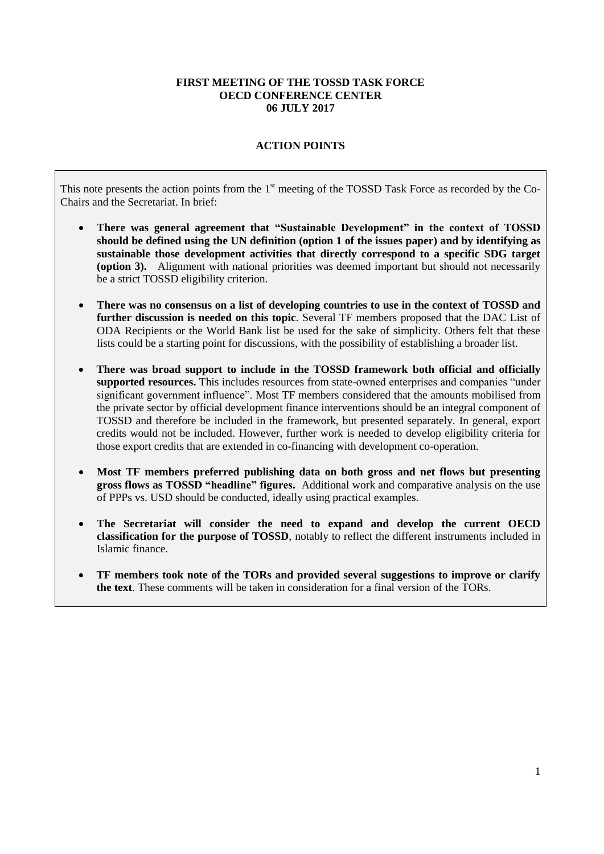## **FIRST MEETING OF THE TOSSD TASK FORCE OECD CONFERENCE CENTER 06 JULY 2017**

# **ACTION POINTS**

This note presents the action points from the 1<sup>st</sup> meeting of the TOSSD Task Force as recorded by the Co-Chairs and the Secretariat. In brief:

- **There was general agreement that "Sustainable Development" in the context of TOSSD should be defined using the UN definition (option 1 of the issues paper) and by identifying as sustainable those development activities that directly correspond to a specific SDG target (option 3).** Alignment with national priorities was deemed important but should not necessarily be a strict TOSSD eligibility criterion.
- **There was no consensus on a list of developing countries to use in the context of TOSSD and further discussion is needed on this topic**. Several TF members proposed that the DAC List of ODA Recipients or the World Bank list be used for the sake of simplicity. Others felt that these lists could be a starting point for discussions, with the possibility of establishing a broader list.
- **There was broad support to include in the TOSSD framework both official and officially supported resources.** This includes resources from state-owned enterprises and companies "under significant government influence". Most TF members considered that the amounts mobilised from the private sector by official development finance interventions should be an integral component of TOSSD and therefore be included in the framework, but presented separately. In general, export credits would not be included. However, further work is needed to develop eligibility criteria for those export credits that are extended in co-financing with development co-operation.
- **Most TF members preferred publishing data on both gross and net flows but presenting gross flows as TOSSD "headline" figures.** Additional work and comparative analysis on the use of PPPs vs. USD should be conducted, ideally using practical examples.
- **The Secretariat will consider the need to expand and develop the current OECD classification for the purpose of TOSSD**, notably to reflect the different instruments included in Islamic finance.
- **TF members took note of the TORs and provided several suggestions to improve or clarify the text**. These comments will be taken in consideration for a final version of the TORs.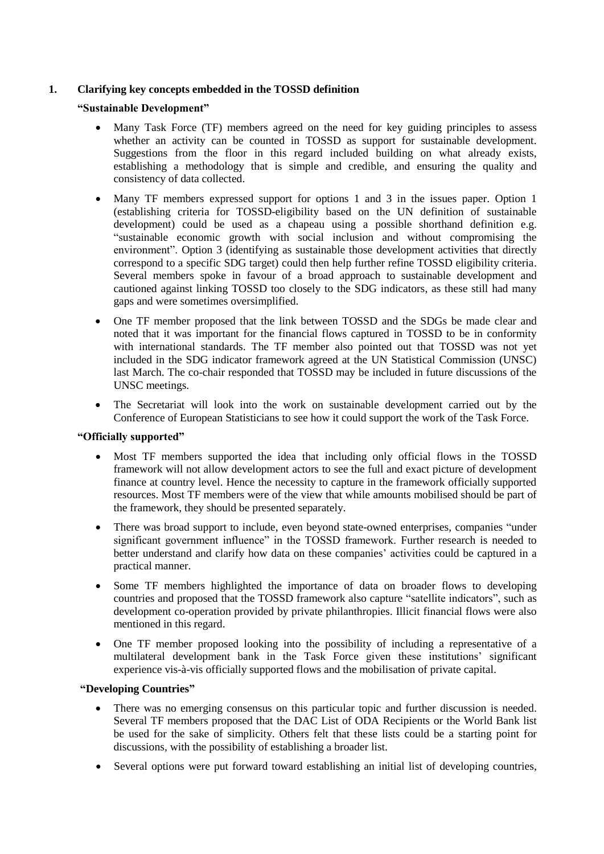# **1. Clarifying key concepts embedded in the TOSSD definition**

# **"Sustainable Development"**

- Many Task Force (TF) members agreed on the need for key guiding principles to assess whether an activity can be counted in TOSSD as support for sustainable development. Suggestions from the floor in this regard included building on what already exists, establishing a methodology that is simple and credible, and ensuring the quality and consistency of data collected.
- Many TF members expressed support for options 1 and 3 in the issues paper. Option 1 (establishing criteria for TOSSD-eligibility based on the UN definition of sustainable development) could be used as a chapeau using a possible shorthand definition e.g. "sustainable economic growth with social inclusion and without compromising the environment". Option 3 (identifying as sustainable those development activities that directly correspond to a specific SDG target) could then help further refine TOSSD eligibility criteria. Several members spoke in favour of a broad approach to sustainable development and cautioned against linking TOSSD too closely to the SDG indicators, as these still had many gaps and were sometimes oversimplified.
- One TF member proposed that the link between TOSSD and the SDGs be made clear and noted that it was important for the financial flows captured in TOSSD to be in conformity with international standards. The TF member also pointed out that TOSSD was not yet included in the SDG indicator framework agreed at the UN Statistical Commission (UNSC) last March. The co-chair responded that TOSSD may be included in future discussions of the UNSC meetings.
- The Secretariat will look into the work on sustainable development carried out by the Conference of European Statisticians to see how it could support the work of the Task Force.

## **"Officially supported"**

- Most TF members supported the idea that including only official flows in the TOSSD framework will not allow development actors to see the full and exact picture of development finance at country level. Hence the necessity to capture in the framework officially supported resources. Most TF members were of the view that while amounts mobilised should be part of the framework, they should be presented separately.
- There was broad support to include, even beyond state-owned enterprises, companies "under significant government influence" in the TOSSD framework. Further research is needed to better understand and clarify how data on these companies' activities could be captured in a practical manner.
- Some TF members highlighted the importance of data on broader flows to developing countries and proposed that the TOSSD framework also capture "satellite indicators", such as development co-operation provided by private philanthropies. Illicit financial flows were also mentioned in this regard.
- One TF member proposed looking into the possibility of including a representative of a multilateral development bank in the Task Force given these institutions' significant experience vis-à-vis officially supported flows and the mobilisation of private capital.

## **"Developing Countries"**

- There was no emerging consensus on this particular topic and further discussion is needed. Several TF members proposed that the DAC List of ODA Recipients or the World Bank list be used for the sake of simplicity. Others felt that these lists could be a starting point for discussions, with the possibility of establishing a broader list.
- Several options were put forward toward establishing an initial list of developing countries,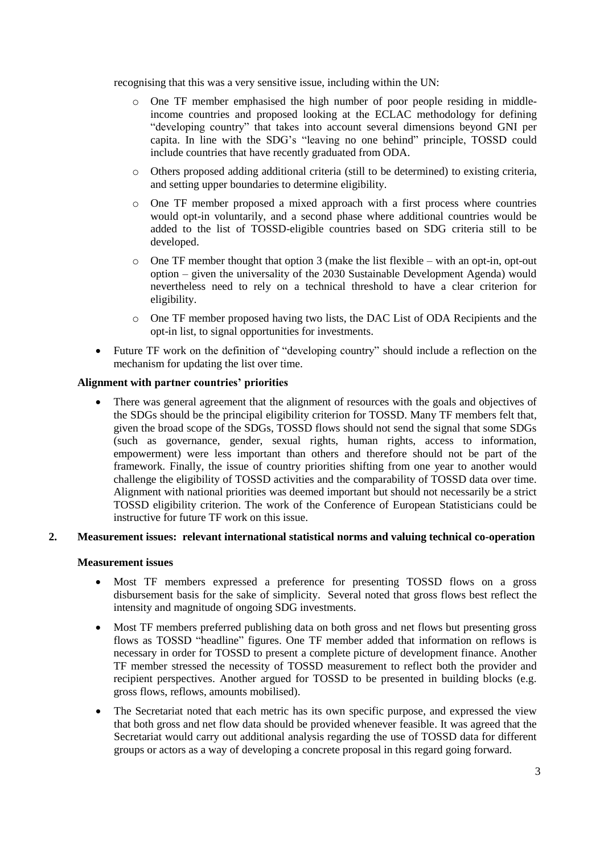recognising that this was a very sensitive issue, including within the UN:

- o One TF member emphasised the high number of poor people residing in middleincome countries and proposed looking at the ECLAC methodology for defining "developing country" that takes into account several dimensions beyond GNI per capita. In line with the SDG's "leaving no one behind" principle, TOSSD could include countries that have recently graduated from ODA.
- o Others proposed adding additional criteria (still to be determined) to existing criteria, and setting upper boundaries to determine eligibility.
- o One TF member proposed a mixed approach with a first process where countries would opt-in voluntarily, and a second phase where additional countries would be added to the list of TOSSD-eligible countries based on SDG criteria still to be developed.
- $\circ$  One TF member thought that option 3 (make the list flexible with an opt-in, opt-out option – given the universality of the 2030 Sustainable Development Agenda) would nevertheless need to rely on a technical threshold to have a clear criterion for eligibility.
- o One TF member proposed having two lists, the DAC List of ODA Recipients and the opt-in list, to signal opportunities for investments.
- Future TF work on the definition of "developing country" should include a reflection on the mechanism for updating the list over time.

## **Alignment with partner countries' priorities**

 There was general agreement that the alignment of resources with the goals and objectives of the SDGs should be the principal eligibility criterion for TOSSD. Many TF members felt that, given the broad scope of the SDGs, TOSSD flows should not send the signal that some SDGs (such as governance, gender, sexual rights, human rights, access to information, empowerment) were less important than others and therefore should not be part of the framework. Finally, the issue of country priorities shifting from one year to another would challenge the eligibility of TOSSD activities and the comparability of TOSSD data over time. Alignment with national priorities was deemed important but should not necessarily be a strict TOSSD eligibility criterion. The work of the Conference of European Statisticians could be instructive for future TF work on this issue.

## **2. Measurement issues: relevant international statistical norms and valuing technical co-operation**

#### **Measurement issues**

- Most TF members expressed a preference for presenting TOSSD flows on a gross disbursement basis for the sake of simplicity. Several noted that gross flows best reflect the intensity and magnitude of ongoing SDG investments.
- Most TF members preferred publishing data on both gross and net flows but presenting gross flows as TOSSD "headline" figures. One TF member added that information on reflows is necessary in order for TOSSD to present a complete picture of development finance. Another TF member stressed the necessity of TOSSD measurement to reflect both the provider and recipient perspectives. Another argued for TOSSD to be presented in building blocks (e.g. gross flows, reflows, amounts mobilised).
- The Secretariat noted that each metric has its own specific purpose, and expressed the view that both gross and net flow data should be provided whenever feasible. It was agreed that the Secretariat would carry out additional analysis regarding the use of TOSSD data for different groups or actors as a way of developing a concrete proposal in this regard going forward.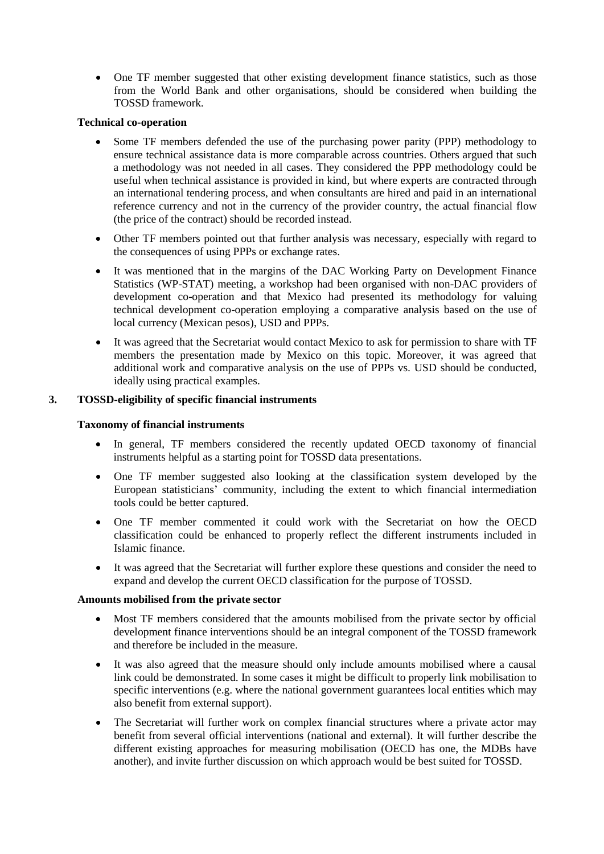One TF member suggested that other existing development finance statistics, such as those from the World Bank and other organisations, should be considered when building the TOSSD framework.

## **Technical co-operation**

- Some TF members defended the use of the purchasing power parity (PPP) methodology to ensure technical assistance data is more comparable across countries. Others argued that such a methodology was not needed in all cases. They considered the PPP methodology could be useful when technical assistance is provided in kind, but where experts are contracted through an international tendering process, and when consultants are hired and paid in an international reference currency and not in the currency of the provider country, the actual financial flow (the price of the contract) should be recorded instead.
- Other TF members pointed out that further analysis was necessary, especially with regard to the consequences of using PPPs or exchange rates.
- It was mentioned that in the margins of the DAC Working Party on Development Finance Statistics (WP-STAT) meeting, a workshop had been organised with non-DAC providers of development co-operation and that Mexico had presented its methodology for valuing technical development co-operation employing a comparative analysis based on the use of local currency (Mexican pesos), USD and PPPs.
- It was agreed that the Secretariat would contact Mexico to ask for permission to share with TF members the presentation made by Mexico on this topic. Moreover, it was agreed that additional work and comparative analysis on the use of PPPs vs. USD should be conducted, ideally using practical examples.

# **3. TOSSD-eligibility of specific financial instruments**

# **Taxonomy of financial instruments**

- In general, TF members considered the recently updated OECD taxonomy of financial instruments helpful as a starting point for TOSSD data presentations.
- One TF member suggested also looking at the classification system developed by the European statisticians' community, including the extent to which financial intermediation tools could be better captured.
- One TF member commented it could work with the Secretariat on how the OECD classification could be enhanced to properly reflect the different instruments included in Islamic finance.
- It was agreed that the Secretariat will further explore these questions and consider the need to expand and develop the current OECD classification for the purpose of TOSSD.

## **Amounts mobilised from the private sector**

- Most TF members considered that the amounts mobilised from the private sector by official development finance interventions should be an integral component of the TOSSD framework and therefore be included in the measure.
- It was also agreed that the measure should only include amounts mobilised where a causal link could be demonstrated. In some cases it might be difficult to properly link mobilisation to specific interventions (e.g. where the national government guarantees local entities which may also benefit from external support).
- The Secretariat will further work on complex financial structures where a private actor may benefit from several official interventions (national and external). It will further describe the different existing approaches for measuring mobilisation (OECD has one, the MDBs have another), and invite further discussion on which approach would be best suited for TOSSD.